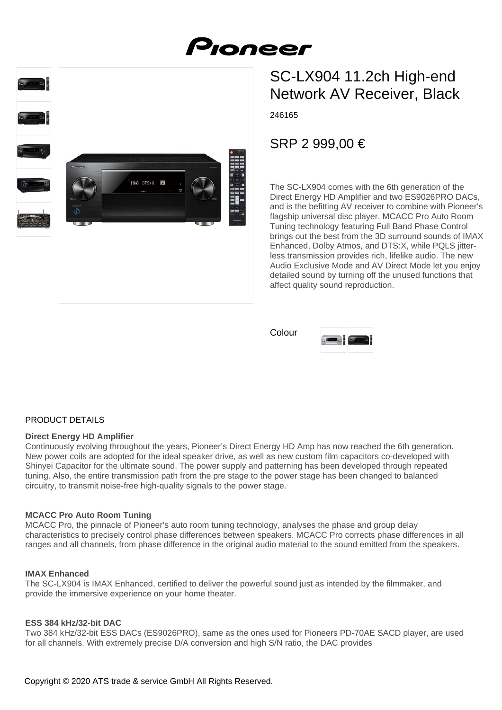# SC-LX904 11.2ch High-end Network AV Receiver, Black

246165

## SRP 2 999,00 €

The SC-LX904 comes with the 6th generation of the Direct Energy HD Amplifier and two ES9026PRO DACs, and is the befitting AV receiver to combine with Pioneer's flagship universal disc player. MCACC Pro Auto Room Tuning technology featuring Full Band Phase Control brings out the best from the 3D surround sounds of IMAX Enhanced, Dolby Atmos, and DTS:X, while PQLS jitterless transmission provides rich, lifelike audio. The new Audio Exclusive Mode and AV Direct Mode let you enjoy detailed sound by turning off the unused functions that affect quality sound reproduction.

Colour



## PRODUCT DETAILS

#### **Direct Energy HD Amplifier**

Continuously evolving throughout the years, Pioneer's Direct Energy HD Amp has now reached the 6th generation. New power coils are adopted for the ideal speaker drive, as well as new custom film capacitors co-developed with Shinyei Capacitor for the ultimate sound. The power supply and patterning has been developed through repeated tuning. Also, the entire transmission path from the pre stage to the power stage has been changed to balanced circuitry, to transmit noise-free high-quality signals to the power stage.

## **MCACC Pro Auto Room Tuning**

MCACC Pro, the pinnacle of Pioneer's auto room tuning technology, analyses the phase and group delay characteristics to precisely control phase differences between speakers. MCACC Pro corrects phase differences in all ranges and all channels, from phase difference in the original audio material to the sound emitted from the speakers.

#### **IMAX Enhanced**

The SC-LX904 is IMAX Enhanced, certified to deliver the powerful sound just as intended by the filmmaker, and provide the immersive experience on your home theater.

#### **ESS 384 kHz/32-bit DAC**

Two 384 kHz/32-bit ESS DACs (ES9026PRO), same as the ones used for Pioneers PD-70AE SACD player, are used for all channels. With extremely precise D/A conversion and high S/N ratio, the DAC provides

IMAX DTS:X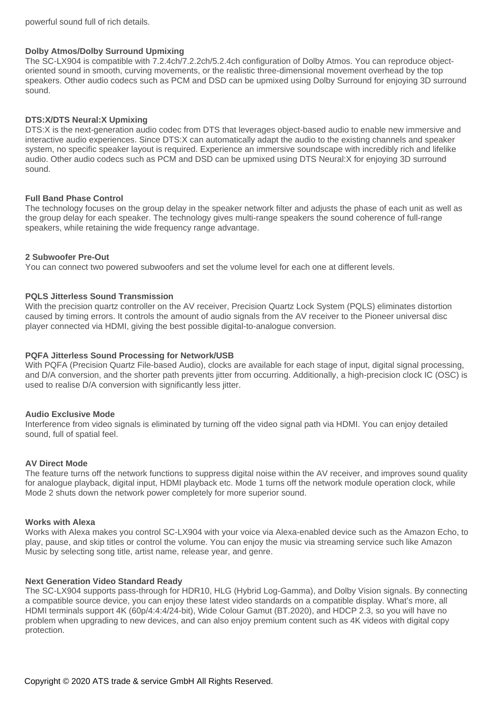powerful sound full of rich details.

#### **Dolby Atmos/Dolby Surround Upmixing**

The SC-LX904 is compatible with 7.2.4ch/7.2.2ch/5.2.4ch configuration of Dolby Atmos. You can reproduce objectoriented sound in smooth, curving movements, or the realistic three-dimensional movement overhead by the top speakers. Other audio codecs such as PCM and DSD can be upmixed using Dolby Surround for enjoying 3D surround sound.

#### **DTS:X/DTS Neural:X Upmixing**

DTS:X is the next-generation audio codec from DTS that leverages object-based audio to enable new immersive and interactive audio experiences. Since DTS:X can automatically adapt the audio to the existing channels and speaker system, no specific speaker layout is required. Experience an immersive soundscape with incredibly rich and lifelike audio. Other audio codecs such as PCM and DSD can be upmixed using DTS Neural:X for enjoying 3D surround sound.

#### **Full Band Phase Control**

The technology focuses on the group delay in the speaker network filter and adjusts the phase of each unit as well as the group delay for each speaker. The technology gives multi-range speakers the sound coherence of full-range speakers, while retaining the wide frequency range advantage.

#### **2 Subwoofer Pre-Out**

You can connect two powered subwoofers and set the volume level for each one at different levels.

#### **PQLS Jitterless Sound Transmission**

With the precision quartz controller on the AV receiver, Precision Quartz Lock System (PQLS) eliminates distortion caused by timing errors. It controls the amount of audio signals from the AV receiver to the Pioneer universal disc player connected via HDMI, giving the best possible digital-to-analogue conversion.

#### **PQFA Jitterless Sound Processing for Network/USB**

With PQFA (Precision Quartz File-based Audio), clocks are available for each stage of input, digital signal processing, and D/A conversion, and the shorter path prevents jitter from occurring. Additionally, a high-precision clock IC (OSC) is used to realise D/A conversion with significantly less jitter.

#### **Audio Exclusive Mode**

Interference from video signals is eliminated by turning off the video signal path via HDMI. You can enjoy detailed sound, full of spatial feel.

#### **AV Direct Mode**

The feature turns off the network functions to suppress digital noise within the AV receiver, and improves sound quality for analogue playback, digital input, HDMI playback etc. Mode 1 turns off the network module operation clock, while Mode 2 shuts down the network power completely for more superior sound.

#### **Works with Alexa**

Works with Alexa makes you control SC-LX904 with your voice via Alexa-enabled device such as the Amazon Echo, to play, pause, and skip titles or control the volume. You can enjoy the music via streaming service such like Amazon Music by selecting song title, artist name, release year, and genre.

#### **Next Generation Video Standard Ready**

The SC-LX904 supports pass-through for HDR10, HLG (Hybrid Log-Gamma), and Dolby Vision signals. By connecting a compatible source device, you can enjoy these latest video standards on a compatible display. What's more, all HDMI terminals support 4K (60p/4:4:4/24-bit), Wide Colour Gamut (BT.2020), and HDCP 2.3, so you will have no problem when upgrading to new devices, and can also enjoy premium content such as 4K videos with digital copy protection.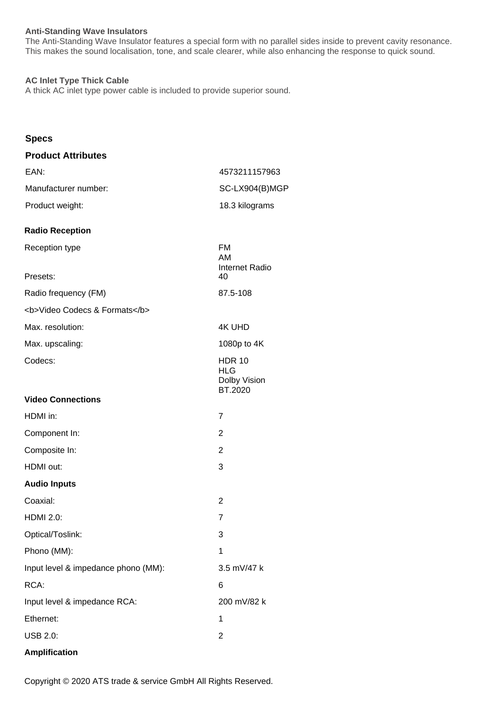## **Anti-Standing Wave Insulators**

The Anti-Standing Wave Insulator features a special form with no parallel sides inside to prevent cavity resonance. This makes the sound localisation, tone, and scale clearer, while also enhancing the response to quick sound.

### **AC Inlet Type Thick Cable**

A thick AC inlet type power cable is included to provide superior sound.

## **Specs**

| <b>Product Attributes</b>           |                                                 |
|-------------------------------------|-------------------------------------------------|
| EAN:                                | 4573211157963                                   |
| Manufacturer number:                | SC-LX904(B)MGP                                  |
| Product weight:                     | 18.3 kilograms                                  |
| <b>Radio Reception</b>              |                                                 |
| Reception type                      | FM<br><b>AM</b><br>Internet Radio               |
| Presets:                            | 40                                              |
| Radio frequency (FM)                | 87.5-108                                        |
| <b>Video Codecs &amp; Formats</b>   |                                                 |
| Max. resolution:                    | <b>4K UHD</b>                                   |
| Max. upscaling:                     | 1080p to 4K                                     |
| Codecs:                             | <b>HDR 10</b><br>HLG<br>Dolby Vision<br>BT.2020 |
| <b>Video Connections</b>            |                                                 |
| HDMI in:                            | $\overline{7}$                                  |
| Component In:                       | $\overline{2}$                                  |
| Composite In:                       | $\overline{2}$                                  |
| HDMI out:                           | 3                                               |
| <b>Audio Inputs</b>                 |                                                 |
| Coaxial:                            | $\overline{2}$                                  |
| <b>HDMI 2.0:</b>                    | 7                                               |
| Optical/Toslink:                    | 3                                               |
| Phono (MM):                         | 1                                               |
| Input level & impedance phono (MM): | 3.5 mV/47 k                                     |
| RCA:                                | 6                                               |
| Input level & impedance RCA:        | 200 mV/82 k                                     |
| Ethernet:                           | 1                                               |
| <b>USB 2.0:</b>                     | $\overline{c}$                                  |
|                                     |                                                 |

## **Amplification**

Copyright © 2020 ATS trade & service GmbH All Rights Reserved.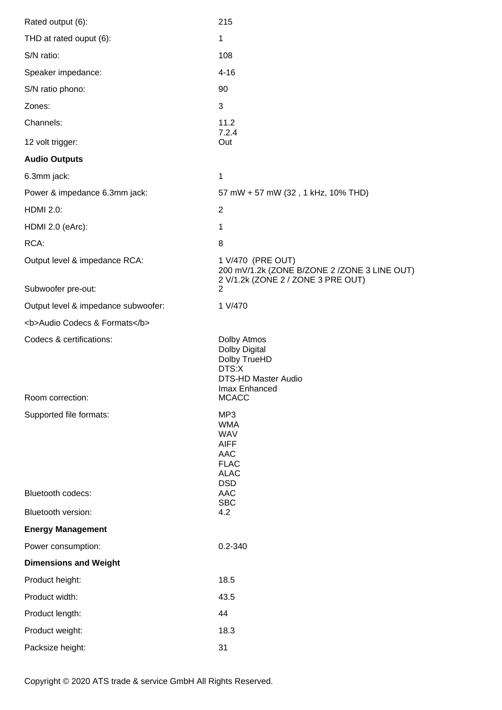| Rated output (6):                   | 215                                                                                                     |
|-------------------------------------|---------------------------------------------------------------------------------------------------------|
| THD at rated ouput (6):             | 1                                                                                                       |
| S/N ratio:                          | 108                                                                                                     |
| Speaker impedance:                  | $4 - 16$                                                                                                |
| S/N ratio phono:                    | 90                                                                                                      |
| Zones:                              | 3                                                                                                       |
| Channels:                           | 11.2<br>7.2.4                                                                                           |
| 12 volt trigger:                    | Out                                                                                                     |
| <b>Audio Outputs</b>                |                                                                                                         |
| 6.3mm jack:                         | 1                                                                                                       |
| Power & impedance 6.3mm jack:       | 57 mW + 57 mW (32, 1 kHz, 10% THD)                                                                      |
| <b>HDMI 2.0:</b>                    | $\overline{2}$                                                                                          |
| HDMI 2.0 (eArc):                    | 1                                                                                                       |
| RCA:                                | 8                                                                                                       |
| Output level & impedance RCA:       | 1 V/470 (PRE OUT)<br>200 mV/1.2k (ZONE B/ZONE 2 /ZONE 3 LINE OUT)<br>2 V/1.2k (ZONE 2 / ZONE 3 PRE OUT) |
| Subwoofer pre-out:                  | $\overline{2}$                                                                                          |
| Output level & impedance subwoofer: | 1 V/470                                                                                                 |
| <b>Audio Codecs &amp; Formats</b>   |                                                                                                         |
|                                     |                                                                                                         |
| Codecs & certifications:            | Dolby Atmos<br>Dolby Digital<br>Dolby TrueHD<br>DTS:X<br><b>DTS-HD Master Audio</b><br>Imax Enhanced    |
| Room correction:                    | <b>MCACC</b>                                                                                            |
| Supported file formats:             | MP <sub>3</sub><br><b>WMA</b><br><b>WAV</b><br><b>AIFF</b><br><b>AAC</b><br><b>FLAC</b><br><b>ALAC</b>  |
| Bluetooth codecs:                   | <b>DSD</b><br><b>AAC</b>                                                                                |
| Bluetooth version:                  | <b>SBC</b><br>4.2                                                                                       |
| <b>Energy Management</b>            |                                                                                                         |
| Power consumption:                  | $0.2 - 340$                                                                                             |
| <b>Dimensions and Weight</b>        |                                                                                                         |
| Product height:                     | 18.5                                                                                                    |
| Product width:                      | 43.5                                                                                                    |
| Product length:                     | 44                                                                                                      |
| Product weight:                     | 18.3                                                                                                    |

Copyright © 2020 ATS trade & service GmbH All Rights Reserved.